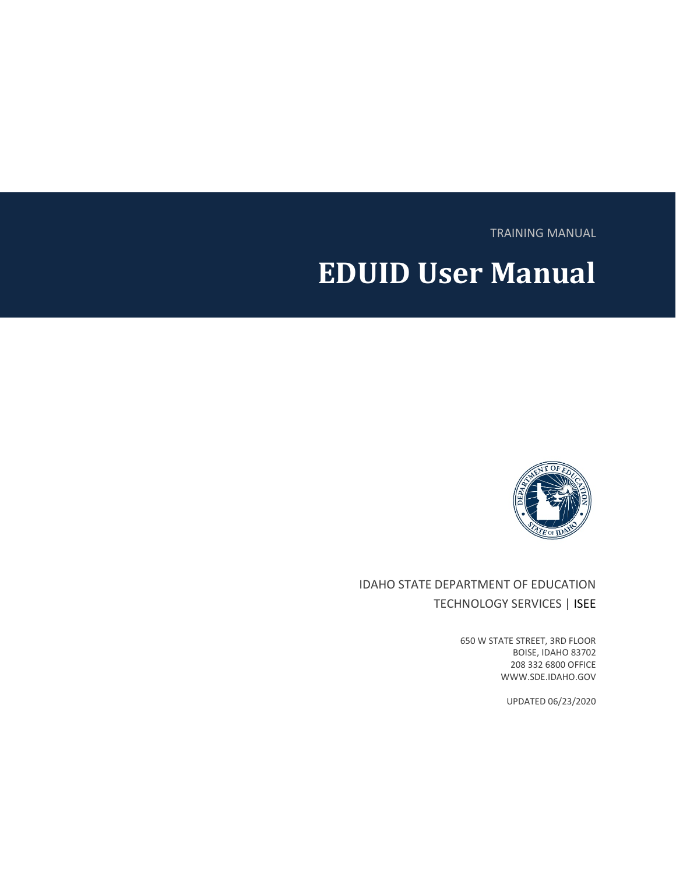TRAINING MANUAL

# **EDUID User Manual**



IDAHO STATE DEPARTMENT OF EDUCATION TECHNOLOGY SERVICES | ISEE

> 650 W STATE STREET, 3RD FLOOR BOISE, IDAHO 83702 208 332 6800 OFFICE WWW.SDE.IDAHO.GOV

> > UPDATED 06/23/2020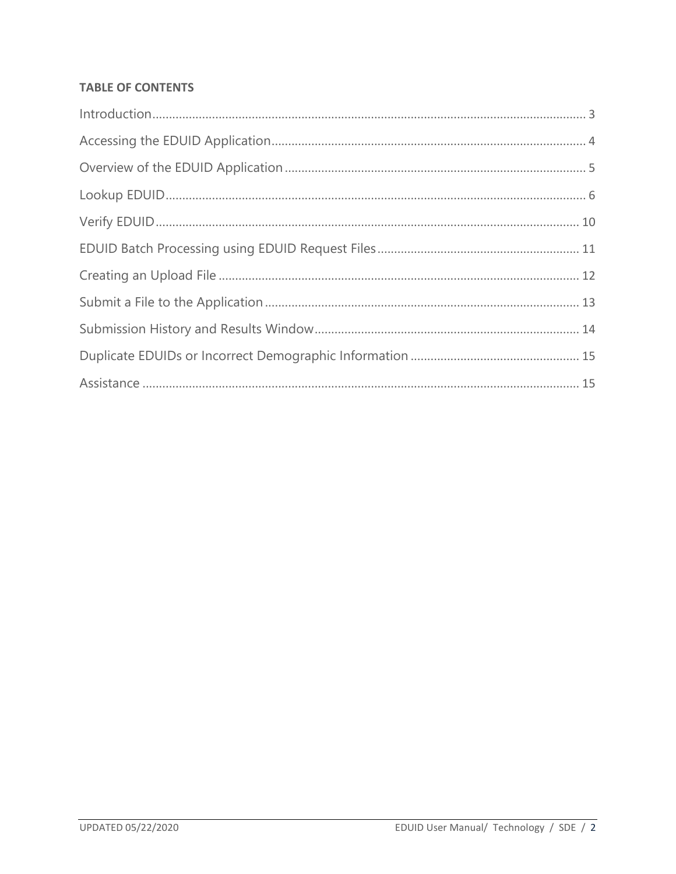### **TABLE OF CONTENTS**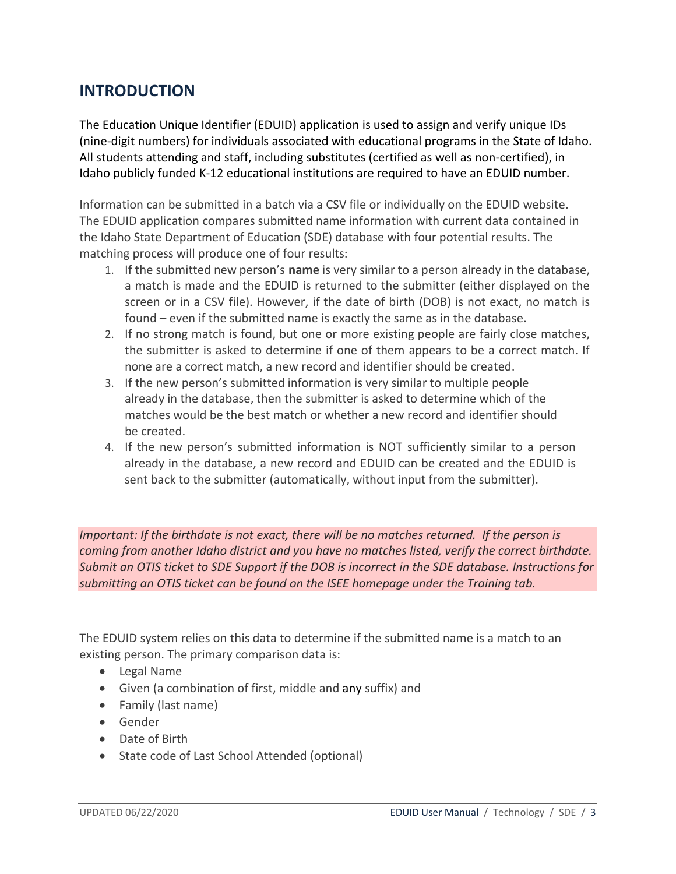### <span id="page-2-0"></span>**INTRODUCTION**

The Education Unique Identifier (EDUID) application is used to assign and verify unique IDs (nine-digit numbers) for individuals associated with educational programs in the State of Idaho. All students attending and staff, including substitutes (certified as well as non-certified), in Idaho publicly funded K-12 educational institutions are required to have an EDUID number.

Information can be submitted in a batch via a CSV file or individually on the EDUID website. The EDUID application compares submitted name information with current data contained in the Idaho State Department of Education (SDE) database with four potential results. The matching process will produce one of four results:

- 1. If the submitted new person's **name** is very similar to a person already in the database, a match is made and the EDUID is returned to the submitter (either displayed on the screen or in a CSV file). However, if the date of birth (DOB) is not exact, no match is found – even if the submitted name is exactly the same as in the database.
- 2. If no strong match is found, but one or more existing people are fairly close matches, the submitter is asked to determine if one of them appears to be a correct match. If none are a correct match, a new record and identifier should be created.
- 3. If the new person's submitted information is very similar to multiple people already in the database, then the submitter is asked to determine which of the matches would be the best match or whether a new record and identifier should be created.
- 4. If the new person's submitted information is NOT sufficiently similar to a person already in the database, a new record and EDUID can be created and the EDUID is sent back to the submitter (automatically, without input from the submitter).

*Important: If the birthdate is not exact, there will be no matches returned. If the person is coming from another Idaho district and you have no matches listed, verify the correct birthdate. Submit an OTIS ticket to SDE Support if the DOB is incorrect in the SDE database. Instructions for submitting an OTIS ticket can be found on the ISEE homepage under the Training tab.*

The EDUID system relies on this data to determine if the submitted name is a match to an existing person. The primary comparison data is:

- Legal Name
- Given (a combination of first, middle and any suffix) and
- Family (last name)
- Gender
- Date of Birth
- State code of Last School Attended (optional)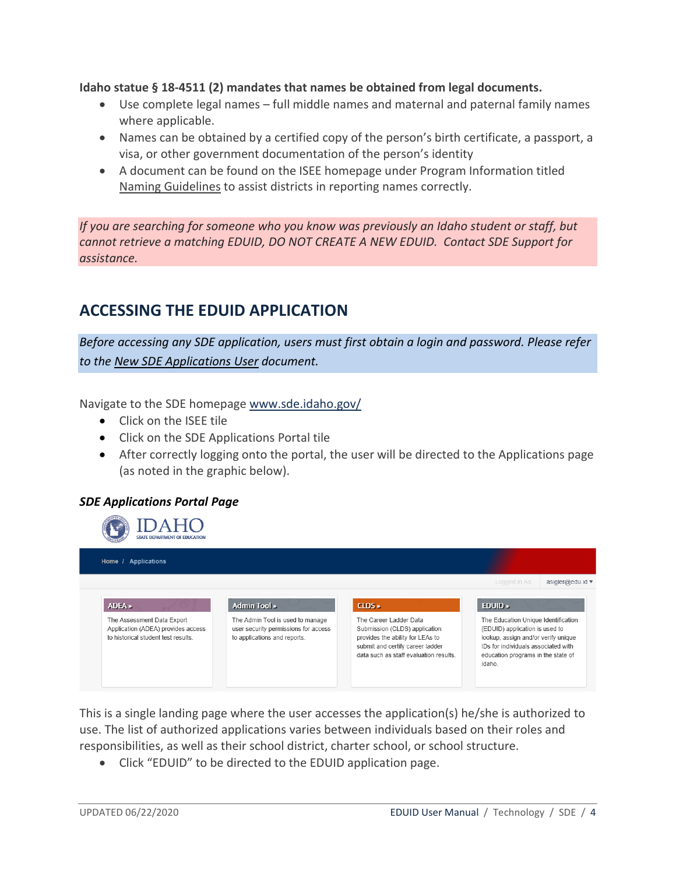### **Idaho statue § 18-4511 (2) mandates that names be obtained from legal documents.**

- Use complete legal names full middle names and maternal and paternal family names where applicable.
- Names can be obtained by a certified copy of the person's birth certificate, a passport, a visa, or other government documentation of the person's identity
- A document can be found on the ISEE homepage under Program Information titled Naming Guidelines to assist districts in reporting names correctly.

*If you are searching for someone who you know was previously an Idaho student or staff, but cannot retrieve a matching EDUID, DO NOT CREATE A NEW EDUID. Contact SDE Support for assistance.*

# <span id="page-3-0"></span>**ACCESSING THE EDUID APPLICATION**

*Before accessing any SDE application, users must first obtain a login and password. Please refer to the New SDE Applications User document.*

Navigate to the SDE homepage www.sde.idaho.gov/

- Click on the ISEE tile
- Click on the SDE Applications Portal tile
- After correctly logging onto the portal, the user will be directed to the Applications page (as noted in the graphic below).

### *SDE Applications Portal Page*



This is a single landing page where the user accesses the application(s) he/she is authorized to use. The list of authorized applications varies between individuals based on their roles and responsibilities, as well as their school district, charter school, or school structure.

• Click "EDUID" to be directed to the EDUID application page.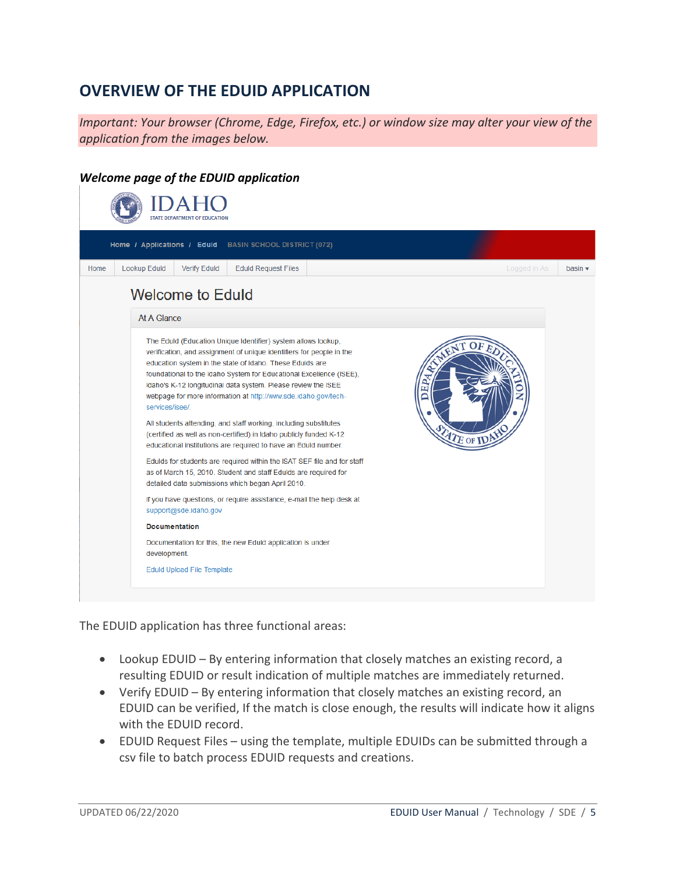# <span id="page-4-0"></span>**OVERVIEW OF THE EDUID APPLICATION**

*Important: Your browser (Chrome, Edge, Firefox, etc.) or window size may alter your view of the application from the images below.*



*Welcome page of the EDUID application*

The EDUID application has three functional areas:

- Lookup EDUID By entering information that closely matches an existing record, a resulting EDUID or result indication of multiple matches are immediately returned.
- Verify EDUID By entering information that closely matches an existing record, an EDUID can be verified, If the match is close enough, the results will indicate how it aligns with the EDUID record.
- EDUID Request Files using the template, multiple EDUIDs can be submitted through a csv file to batch process EDUID requests and creations.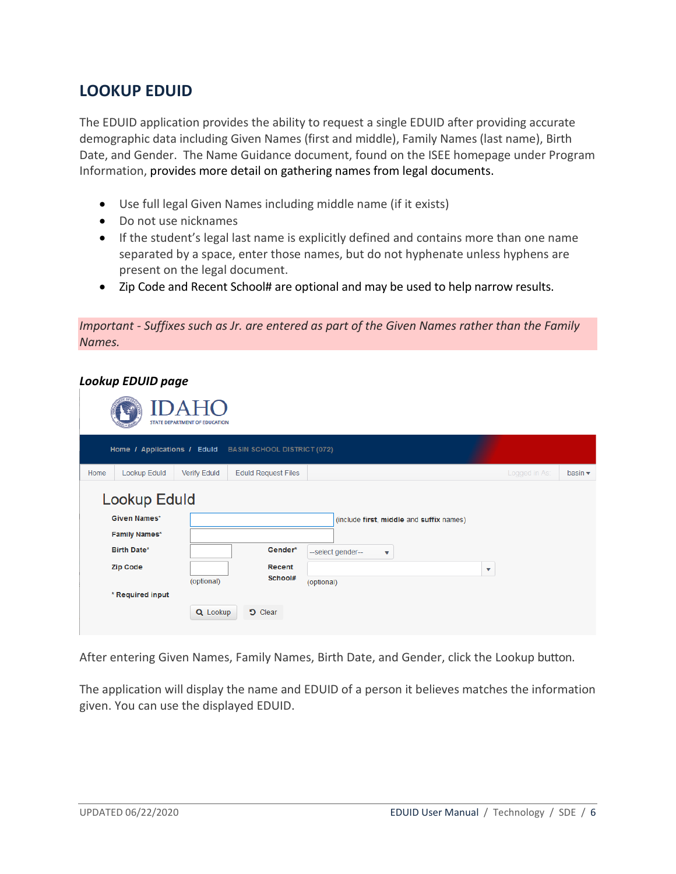### <span id="page-5-0"></span>**LOOKUP EDUID**

The EDUID application provides the ability to request a single EDUID after providing accurate demographic data including Given Names (first and middle), Family Names (last name), Birth Date, and Gender. The Name Guidance document, found on the ISEE homepage under Program Information, provides more detail on gathering names from legal documents.

- Use full legal Given Names including middle name (if it exists)
- Do not use nicknames
- If the student's legal last name is explicitly defined and contains more than one name separated by a space, enter those names, but do not hyphenate unless hyphens are present on the legal document.
- Zip Code and Recent School# are optional and may be used to help narrow results.

*Important - Suffixes such as Jr. are entered as part of the Given Names rather than the Family Names.*

#### *Lookup EDUID page*

|                                                                                                                                 | $\prod$ $\Delta$ <sub>F</sub><br><b>STATE DEPARTMENT OF EDUCATION</b> |                                                         |                                                                                                        |   |               |                            |
|---------------------------------------------------------------------------------------------------------------------------------|-----------------------------------------------------------------------|---------------------------------------------------------|--------------------------------------------------------------------------------------------------------|---|---------------|----------------------------|
|                                                                                                                                 |                                                                       | Home / Applications / Eduld BASIN SCHOOL DISTRICT (072) |                                                                                                        |   |               |                            |
| Lookup Eduld<br>Home                                                                                                            | Verify Eduld                                                          | <b>Eduld Request Files</b>                              |                                                                                                        |   | Logged in As: | basin $\blacktriangledown$ |
| <b>Lookup Eduld</b><br><b>Given Names*</b><br><b>Family Names*</b><br><b>Birth Date*</b><br><b>Zip Code</b><br>* Required input | (optional)<br>Q Lookup                                                | Gender*<br>Recent<br>School#<br><b>D</b> Clear          | (include first, middle and suffix names)<br>--select gender--<br>$\overline{\mathbf{v}}$<br>(optional) | v |               |                            |

After entering Given Names, Family Names, Birth Date, and Gender, click the Lookup button.

The application will display the name and EDUID of a person it believes matches the information given. You can use the displayed EDUID.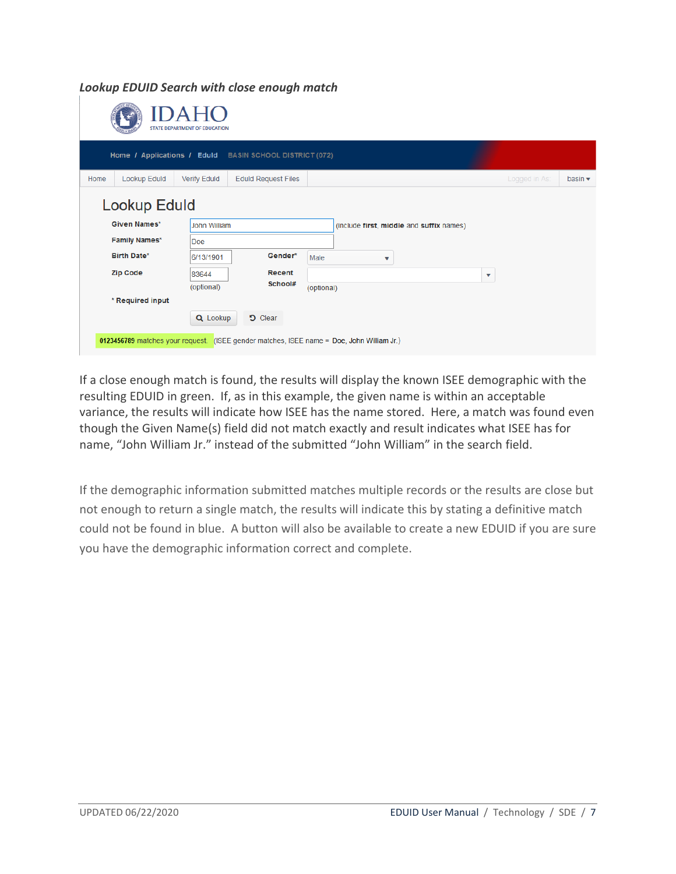*Lookup EDUID Search with close enough match*

|      |                                            | <b>STATE DEPARTMENT OF EDUCATION</b> |                                                                                           |            |                                          |   |               |                            |
|------|--------------------------------------------|--------------------------------------|-------------------------------------------------------------------------------------------|------------|------------------------------------------|---|---------------|----------------------------|
|      |                                            |                                      | Home / Applications / Eduld BASIN SCHOOL DISTRICT (072)                                   |            |                                          |   |               |                            |
| Home | Lookup Eduld                               | Verify Eduld                         | <b>Eduld Request Files</b>                                                                |            |                                          |   | Logged in As: | basin $\blacktriangledown$ |
|      | <b>Lookup Eduld</b><br><b>Given Names*</b> | John William                         |                                                                                           |            | (include first, middle and suffix names) |   |               |                            |
|      | <b>Family Names*</b>                       | Doe                                  |                                                                                           |            |                                          |   |               |                            |
|      | <b>Birth Date*</b>                         | 6/13/1901                            | Gender*                                                                                   | Male       | ▼                                        |   |               |                            |
|      | <b>Zip Code</b>                            | 83644                                | Recent                                                                                    |            |                                          | v |               |                            |
|      | * Required input                           | (optional)<br>Q Lookup               | School#<br><b>D</b> Clear                                                                 | (optional) |                                          |   |               |                            |
|      |                                            |                                      | 0123456789 matches your request. (ISEE gender matches, ISEE name = Doe, John William Jr.) |            |                                          |   |               |                            |

If a close enough match is found, the results will display the known ISEE demographic with the resulting EDUID in green. If, as in this example, the given name is within an acceptable variance, the results will indicate how ISEE has the name stored. Here, a match was found even though the Given Name(s) field did not match exactly and result indicates what ISEE has for name, "John William Jr." instead of the submitted "John William" in the search field.

If the demographic information submitted matches multiple records or the results are close but not enough to return a single match, the results will indicate this by stating a definitive match could not be found in blue. A button will also be available to create a new EDUID if you are sure you have the demographic information correct and complete.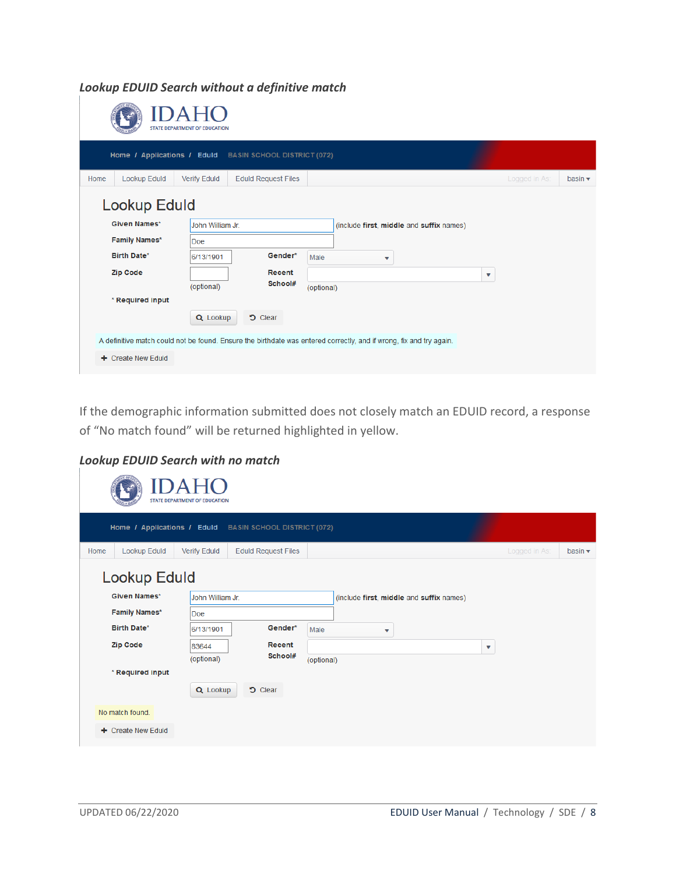*Lookup EDUID Search without a definitive match*

|      |                             | <b>STATE DEPARTMENT OF EDUCATION</b> |                                                                                                                     |            |   |                                          |   |               |                            |
|------|-----------------------------|--------------------------------------|---------------------------------------------------------------------------------------------------------------------|------------|---|------------------------------------------|---|---------------|----------------------------|
|      | Home / Applications / Eduld |                                      | <b>BASIN SCHOOL DISTRICT (072)</b>                                                                                  |            |   |                                          |   |               |                            |
| Home | Lookup Eduld                | <b>Verify Eduld</b>                  | <b>Eduld Request Files</b>                                                                                          |            |   |                                          |   | Logged in As: | basin $\blacktriangledown$ |
|      | <b>Lookup Eduld</b>         |                                      |                                                                                                                     |            |   |                                          |   |               |                            |
|      | Given Names*                | John William Jr.                     |                                                                                                                     |            |   | (include first, middle and suffix names) |   |               |                            |
|      | <b>Family Names*</b>        | Doe                                  |                                                                                                                     |            |   |                                          |   |               |                            |
|      | <b>Birth Date*</b>          | 6/13/1901                            | Gender*                                                                                                             | Male       | ▼ |                                          |   |               |                            |
|      | <b>Zip Code</b>             |                                      | Recent                                                                                                              |            |   |                                          | v |               |                            |
|      |                             | (optional)                           | School#                                                                                                             | (optional) |   |                                          |   |               |                            |
|      | * Required input            | Q Lookup                             | $5$ Clear                                                                                                           |            |   |                                          |   |               |                            |
|      |                             |                                      | A definitive match could not be found. Ensure the birthdate was entered correctly, and if wrong, fix and try again. |            |   |                                          |   |               |                            |
|      | + Create New Eduld          |                                      |                                                                                                                     |            |   |                                          |   |               |                            |

If the demographic information submitted does not closely match an EDUID record, a response of "No match found" will be returned highlighted in yellow.

*Lookup EDUID Search with no match*

|                             | <b>STATE DEPARTMENT OF EDUCATION</b> |                                    |            |                                          |             |               |                            |
|-----------------------------|--------------------------------------|------------------------------------|------------|------------------------------------------|-------------|---------------|----------------------------|
| Home / Applications / Eduld |                                      | <b>BASIN SCHOOL DISTRICT (072)</b> |            |                                          |             |               |                            |
| Lookup Eduld<br>Home        | Verify Eduld                         | <b>Eduld Request Files</b>         |            |                                          |             | Logged in As: | basin $\blacktriangledown$ |
| <b>Lookup Eduld</b>         |                                      |                                    |            |                                          |             |               |                            |
| Given Names*                | John William Jr.                     |                                    |            | (include first, middle and suffix names) |             |               |                            |
| <b>Family Names*</b>        | <b>Doe</b>                           |                                    |            |                                          |             |               |                            |
| <b>Birth Date*</b>          | 6/13/1901                            | Gender*                            | Male       | v                                        |             |               |                            |
| <b>Zip Code</b>             | 83644                                | Recent                             |            |                                          | $\mathbf v$ |               |                            |
|                             | (optional)                           | School#                            | (optional) |                                          |             |               |                            |
| * Required input            |                                      |                                    |            |                                          |             |               |                            |
|                             | Q Lookup                             | <b>D</b> Clear                     |            |                                          |             |               |                            |
| No match found.             |                                      |                                    |            |                                          |             |               |                            |
| + Create New Eduld          |                                      |                                    |            |                                          |             |               |                            |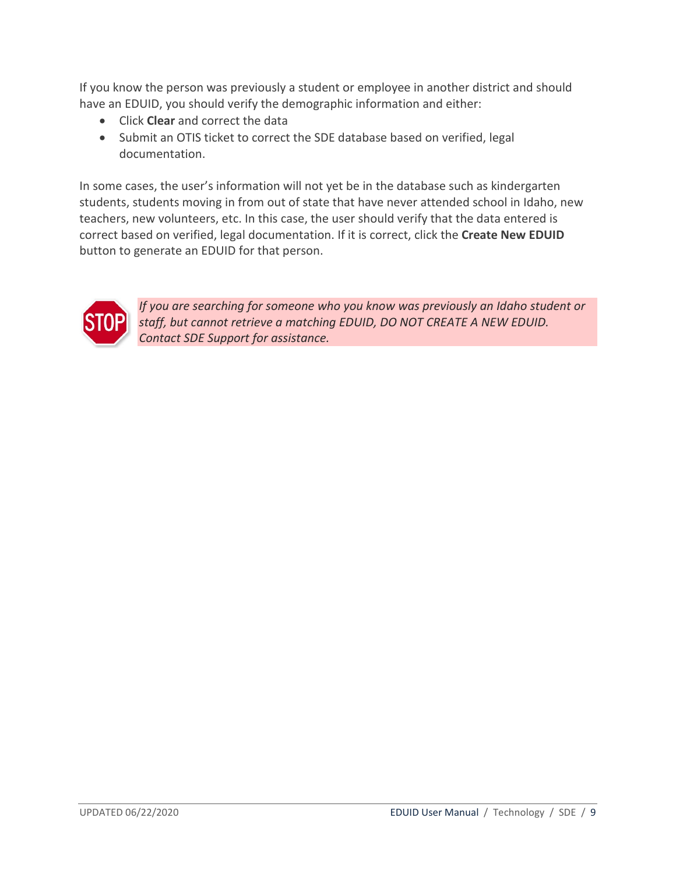If you know the person was previously a student or employee in another district and should have an EDUID, you should verify the demographic information and either:

- Click **Clear** and correct the data
- Submit an OTIS ticket to correct the SDE database based on verified, legal documentation.

In some cases, the user's information will not yet be in the database such as kindergarten students, students moving in from out of state that have never attended school in Idaho, new teachers, new volunteers, etc. In this case, the user should verify that the data entered is correct based on verified, legal documentation. If it is correct, click the **Create New EDUID** button to generate an EDUID for that person.

<span id="page-8-0"></span>

*If you are searching for someone who you know was previously an Idaho student or staff, but cannot retrieve a matching EDUID, DO NOT CREATE A NEW EDUID. Contact SDE Support for assistance.*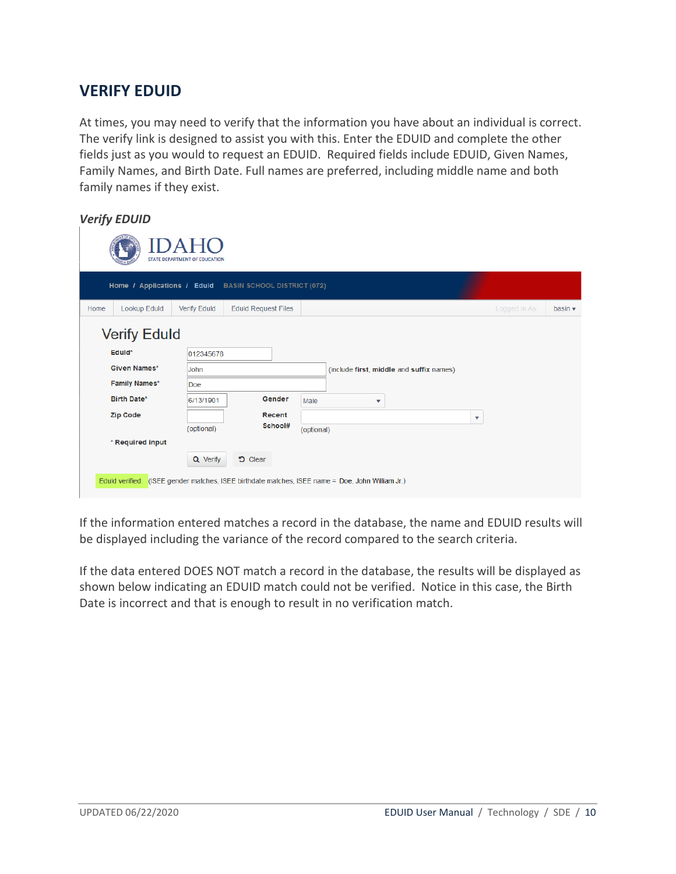### **VERIFY EDUID**

At times, you may need to verify that the information you have about an individual is correct. The verify link is designed to assist you with this. Enter the EDUID and complete the other fields just as you would to request an EDUID. Required fields include EDUID, Given Names, Family Names, and Birth Date. Full names are preferred, including middle name and both family names if they exist.

#### *Verify EDUID*

|      | $-4100p$             | <b>STATE DEPARTMENT OF EDUCATION</b> |                                                                                  |            |                                          |  |                      |               |                            |
|------|----------------------|--------------------------------------|----------------------------------------------------------------------------------|------------|------------------------------------------|--|----------------------|---------------|----------------------------|
|      |                      |                                      | Home / Applications / Eduld BASIN SCHOOL DISTRICT (072)                          |            |                                          |  |                      |               |                            |
| Home | Lookup Eduld         | Verify Eduld                         | <b>Eduld Request Files</b>                                                       |            |                                          |  |                      | Logged in As: | basin $\blacktriangledown$ |
|      | <b>Verify Eduld</b>  |                                      |                                                                                  |            |                                          |  |                      |               |                            |
|      | Eduld*               | 012345678                            |                                                                                  |            |                                          |  |                      |               |                            |
|      | Given Names*         | John                                 |                                                                                  |            | (include first, middle and suffix names) |  |                      |               |                            |
|      | <b>Family Names*</b> | <b>Doe</b>                           |                                                                                  |            |                                          |  |                      |               |                            |
|      | <b>Birth Date*</b>   | 6/13/1901                            | Gender                                                                           | Male       | $\blacktriangledown$                     |  |                      |               |                            |
|      | <b>Zip Code</b>      |                                      | Recent                                                                           |            |                                          |  | $\blacktriangledown$ |               |                            |
|      | * Required input     | (optional)<br>Q Verify               | School#<br><b>D</b> Clear                                                        | (optional) |                                          |  |                      |               |                            |
|      | Eduld verified.      |                                      | (ISEE gender matches, ISEE birthdate matches, ISEE name = Doe, John William Jr.) |            |                                          |  |                      |               |                            |

If the information entered matches a record in the database, the name and EDUID results will be displayed including the variance of the record compared to the search criteria.

If the data entered DOES NOT match a record in the database, the results will be displayed as shown below indicating an EDUID match could not be verified. Notice in this case, the Birth Date is incorrect and that is enough to result in no verification match.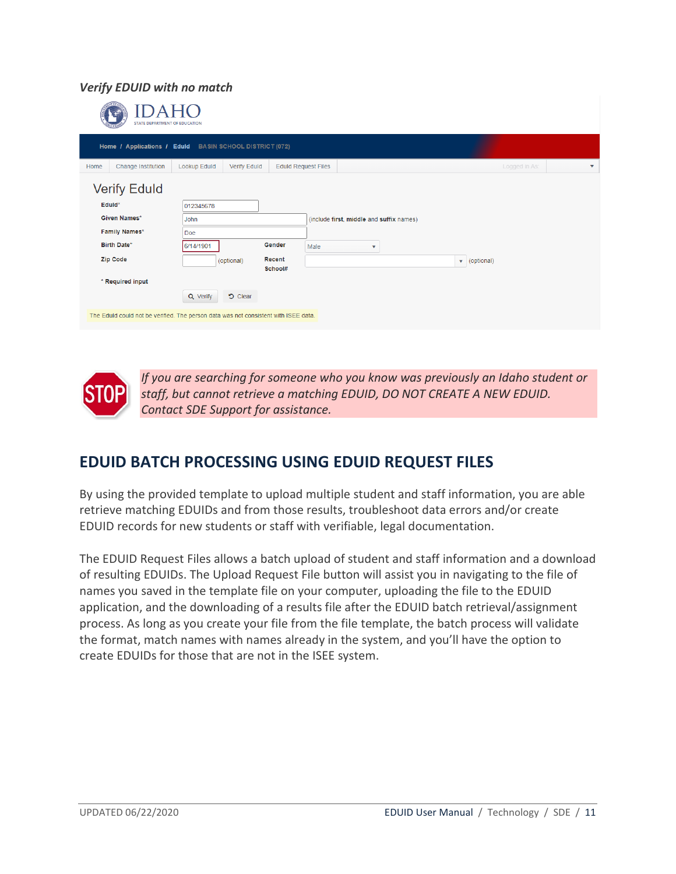### *Verify EDUID with no match*

|      | STATE DEPARTMENT OF EDUCATION                                                       |              |                |                            |      |                                          |  |                      |               |                         |
|------|-------------------------------------------------------------------------------------|--------------|----------------|----------------------------|------|------------------------------------------|--|----------------------|---------------|-------------------------|
|      | Home / Applications / Eduld BASIN SCHOOL DISTRICT (072)                             |              |                |                            |      |                                          |  |                      |               |                         |
| Home | Change Institution                                                                  | Lookup Eduld | Verify Eduld   | <b>Eduld Request Files</b> |      |                                          |  |                      | Logged in As: | $\overline{\mathbf{v}}$ |
|      | <b>Verify Eduld</b><br>Eduld*                                                       | 012345678    |                |                            |      |                                          |  |                      |               |                         |
|      | <b>Given Names*</b>                                                                 | John         |                |                            |      | (include first, middle and suffix names) |  |                      |               |                         |
|      | <b>Family Names*</b>                                                                | Doe          |                |                            |      |                                          |  |                      |               |                         |
|      | Birth Date*                                                                         | 6/14/1901    |                | Gender                     | Male | ۷                                        |  |                      |               |                         |
|      | <b>Zip Code</b>                                                                     |              | (optional)     | Recent<br>School#          |      |                                          |  | $\bullet$ (optional) |               |                         |
|      | * Required input                                                                    |              |                |                            |      |                                          |  |                      |               |                         |
|      |                                                                                     | Q Verify     | <b>D</b> Clear |                            |      |                                          |  |                      |               |                         |
|      | The Eduld could not be verified. The person data was not consistent with ISEE data. |              |                |                            |      |                                          |  |                      |               |                         |



*If you are searching for someone who you know was previously an Idaho student or staff, but cannot retrieve a matching EDUID, DO NOT CREATE A NEW EDUID. Contact SDE Support for assistance.*

# <span id="page-10-0"></span>**EDUID BATCH PROCESSING USING EDUID REQUEST FILES**

By using the provided template to upload multiple student and staff information, you are able retrieve matching EDUIDs and from those results, troubleshoot data errors and/or create EDUID records for new students or staff with verifiable, legal documentation.

The EDUID Request Files allows a batch upload of student and staff information and a download of resulting EDUIDs. The Upload Request File button will assist you in navigating to the file of names you saved in the template file on your computer, uploading the file to the EDUID application, and the downloading of a results file after the EDUID batch retrieval/assignment process. As long as you create your file from the file template, the batch process will validate the format, match names with names already in the system, and you'll have the option to create EDUIDs for those that are not in the ISEE system.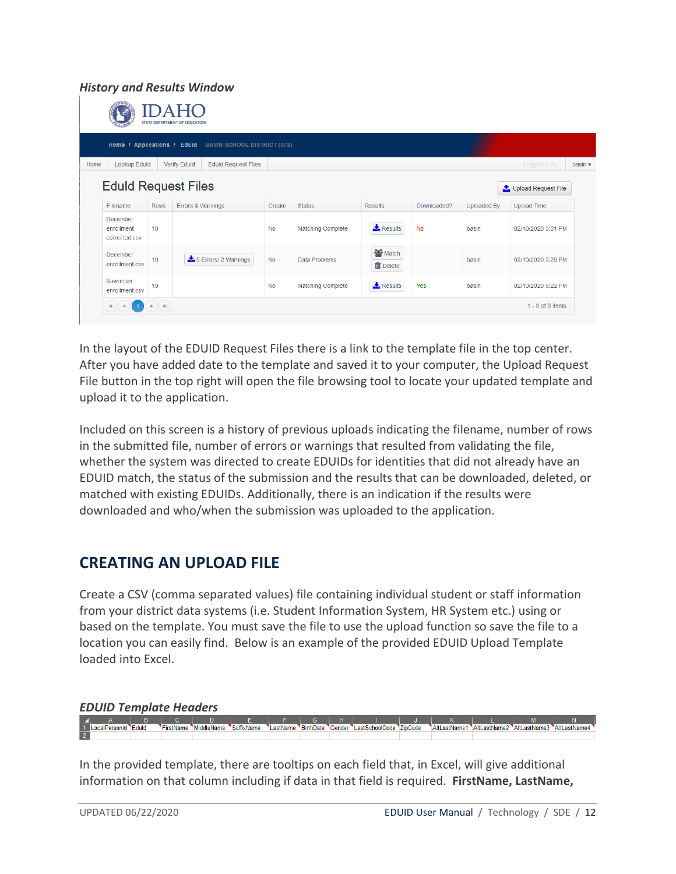#### *History and Results Window*

| Home / Applications / Eduld             |                  |                     | <b>BASIN SCHOOL DISTRICT (072)</b> |           |                          |                                 |             |                    |                     |
|-----------------------------------------|------------------|---------------------|------------------------------------|-----------|--------------------------|---------------------------------|-------------|--------------------|---------------------|
| Lookup Eduld<br>Home                    |                  | <b>Verify Eduld</b> | <b>Eduld Request Files</b>         |           |                          |                                 |             |                    | Logged in As:       |
| <b>Eduld Request Files</b>              |                  |                     |                                    |           |                          |                                 |             |                    | Upload Request File |
| Filename                                | <b>Rows</b>      | Errors & Warnings   |                                    | Create    | <b>Status</b>            | <b>Results</b>                  | Downloaded? | <b>Uploaded By</b> | <b>Upload Time</b>  |
| December<br>enrollment<br>corrected.csv | 10               |                     |                                    | <b>No</b> | <b>Matching Complete</b> | $\frac{1}{2}$ Results           | <b>No</b>   | basin              | 02/10/2020 5:31 PM  |
| December<br>enrollment.csv              | 10 <sup>10</sup> |                     | $\frac{1}{2}$ 5 Errors/ 2 Warnings | <b>No</b> | Data Problems            | <b>Match</b><br><b>面</b> Delete |             | basin              | 02/10/2020 5:29 PM  |
| November                                | 10               |                     |                                    | <b>No</b> | Matching Complete        | $\frac{1}{2}$ Results           | Yes         | basin              | 02/10/2020 5:22 PM  |

In the layout of the EDUID Request Files there is a link to the template file in the top center. After you have added date to the template and saved it to your computer, the Upload Request File button in the top right will open the file browsing tool to locate your updated template and upload it to the application.

Included on this screen is a history of previous uploads indicating the filename, number of rows in the submitted file, number of errors or warnings that resulted from validating the file, whether the system was directed to create EDUIDs for identities that did not already have an EDUID match, the status of the submission and the results that can be downloaded, deleted, or matched with existing EDUIDs. Additionally, there is an indication if the results were downloaded and who/when the submission was uploaded to the application.

### <span id="page-11-0"></span>**CREATING AN UPLOAD FILE**

Create a CSV (comma separated values) file containing individual student or staff information from your district data systems (i.e. Student Information System, HR System etc.) using or based on the template. You must save the file to use the upload function so save the file to a location you can easily find. Below is an example of the provided EDUID Upload Template loaded into Excel.

#### *EDUID Template Headers*

|                | 1 LocalPersonId Eduld |  | FirstName MiddleName SuffixName |  |  | 14tLastName BirthDate Gender LastSchoolCode ZipCode AltLastName1 AltLastName2 AltLastName3 AltLastName4 |  |  |  |
|----------------|-----------------------|--|---------------------------------|--|--|---------------------------------------------------------------------------------------------------------|--|--|--|
| $\overline{2}$ |                       |  |                                 |  |  |                                                                                                         |  |  |  |

In the provided template, there are tooltips on each field that, in Excel, will give additional information on that column including if data in that field is required. **FirstName, LastName,**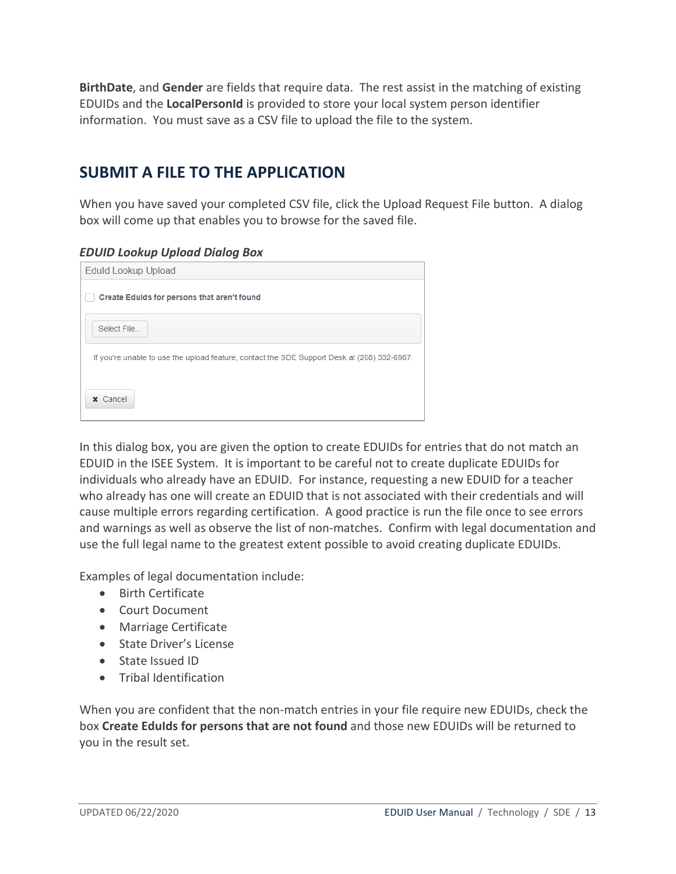**BirthDate**, and **Gender** are fields that require data. The rest assist in the matching of existing EDUIDs and the **LocalPersonId** is provided to store your local system person identifier information. You must save as a CSV file to upload the file to the system.

## <span id="page-12-0"></span>**SUBMIT A FILE TO THE APPLICATION**

When you have saved your completed CSV file, click the Upload Request File button. A dialog box will come up that enables you to browse for the saved file.

#### *EDUID Lookup Upload Dialog Box*

| Eduld Lookup Upload                                                                         |
|---------------------------------------------------------------------------------------------|
| Create Edulds for persons that aren't found                                                 |
| Select File                                                                                 |
| If you're unable to use the upload feature, contact the SDE Support Desk at (208) 332-6987. |
| x Cancel                                                                                    |

In this dialog box, you are given the option to create EDUIDs for entries that do not match an EDUID in the ISEE System. It is important to be careful not to create duplicate EDUIDs for individuals who already have an EDUID. For instance, requesting a new EDUID for a teacher who already has one will create an EDUID that is not associated with their credentials and will cause multiple errors regarding certification. A good practice is run the file once to see errors and warnings as well as observe the list of non-matches. Confirm with legal documentation and use the full legal name to the greatest extent possible to avoid creating duplicate EDUIDs.

Examples of legal documentation include:

- Birth Certificate
- Court Document
- Marriage Certificate
- State Driver's License
- State Issued ID
- Tribal Identification

When you are confident that the non-match entries in your file require new EDUIDs, check the box **Create EduIds for persons that are not found** and those new EDUIDs will be returned to you in the result set.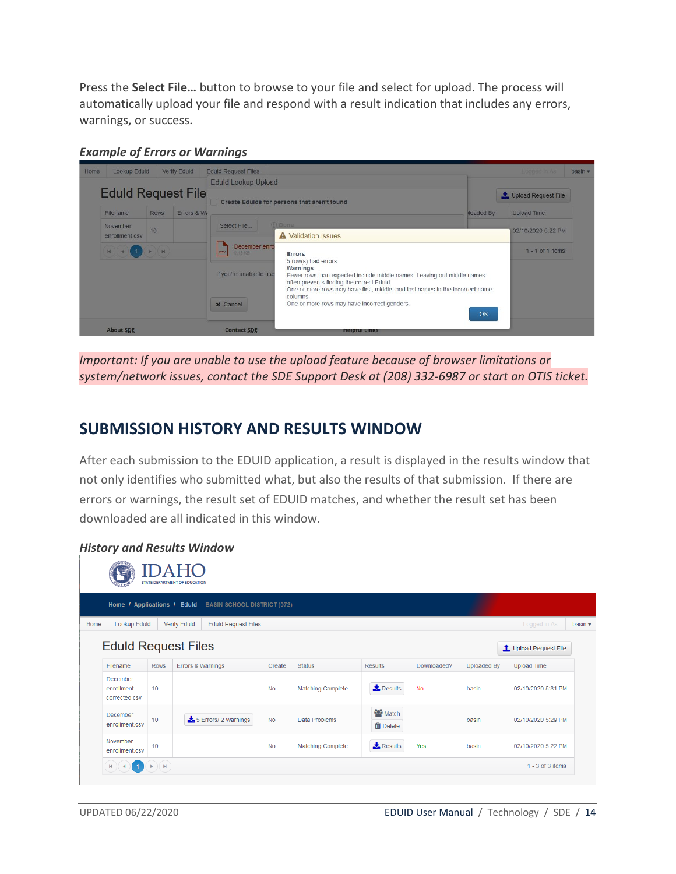Press the **Select File…** button to browse to your file and select for upload. The process will automatically upload your file and respond with a result indication that includes any errors, warnings, or success.

| Home | Lookup Eduld               |                | Verify Eduld | <b>Eduld Request Files</b>                                                    |                                                                                                                                                                                                                                                                                                                 |            | $basin$ $\star$<br>Logged in As: |
|------|----------------------------|----------------|--------------|-------------------------------------------------------------------------------|-----------------------------------------------------------------------------------------------------------------------------------------------------------------------------------------------------------------------------------------------------------------------------------------------------------------|------------|----------------------------------|
|      |                            |                |              | <b>Eduld Lookup Upload</b>                                                    |                                                                                                                                                                                                                                                                                                                 |            |                                  |
|      | <b>Eduld Request File</b>  |                |              |                                                                               | <b>Create Edulds for persons that aren't found</b>                                                                                                                                                                                                                                                              |            | Upload Request File              |
|      | Filename                   | <b>Rows</b>    | Errors & Wa  |                                                                               |                                                                                                                                                                                                                                                                                                                 | iloaded By | <b>Upload Time</b>               |
|      | November<br>enrollment.csv | 10             |              | Select File                                                                   | <b>Done</b><br>A Validation issues                                                                                                                                                                                                                                                                              |            | 02/10/2020 5:22 PM               |
|      | H.                         | $\blacksquare$ |              | December enro<br>CSV<br>0.48 KB<br>If you're unable to use<br><b>x</b> Cancel | Errors<br>5 row(s) had errors.<br>Warnings<br>Fewer rows than expected include middle names. Leaving out middle names<br>often prevents finding the correct Eduld.<br>One or more rows may have first, middle, and last names in the incorrect name<br>columns.<br>One or more rows may have incorrect genders. | OK         | $1 - 1$ of 1 items               |
|      | <b>About SDE</b>           |                |              | <b>Contact SDE</b>                                                            | <b>Melprul Links</b>                                                                                                                                                                                                                                                                                            |            |                                  |

#### *Example of Errors or Warnings*

<span id="page-13-0"></span>*Important: If you are unable to use the upload feature because of browser limitations or system/network issues, contact the SDE Support Desk at (208) 332-6987 or start an OTIS ticket.* 

### **SUBMISSION HISTORY AND RESULTS WINDOW**

After each submission to the EDUID application, a result is displayed in the results window that not only identifies who submitted what, but also the results of that submission. If there are errors or warnings, the result set of EDUID matches, and whether the result set has been downloaded are all indicated in this window.

#### *History and Results Window*

| Home / Applications / Eduld             |                  |                   | <b>BASIN SCHOOL DISTRICT (072)</b> |           |                          |                                 |             |                    |                     |
|-----------------------------------------|------------------|-------------------|------------------------------------|-----------|--------------------------|---------------------------------|-------------|--------------------|---------------------|
| Lookup Eduld<br>Home                    |                  | Verify Eduld      | <b>Eduld Request Files</b>         |           |                          |                                 |             |                    | Logged in As:       |
| <b>Eduld Request Files</b>              |                  |                   |                                    |           |                          |                                 |             |                    | Upload Request File |
| Filename                                | <b>Rows</b>      | Errors & Warnings |                                    | Create    | <b>Status</b>            | <b>Results</b>                  | Downloaded? | <b>Uploaded By</b> | <b>Upload Time</b>  |
| December<br>enrollment<br>corrected.csv | 10               |                   |                                    | <b>No</b> | <b>Matching Complete</b> | $\frac{1}{2}$ Results           | <b>No</b>   | basin              | 02/10/2020 5:31 PM  |
| December                                | 10 <sup>10</sup> |                   | $\frac{1}{2}$ 5 Errors/ 2 Warnings | <b>No</b> | Data Problems            | <b>Match</b><br><b>m</b> Delete |             | basin              | 02/10/2020 5:29 PM  |
| enrollment.csv                          |                  |                   |                                    |           |                          |                                 |             |                    |                     |